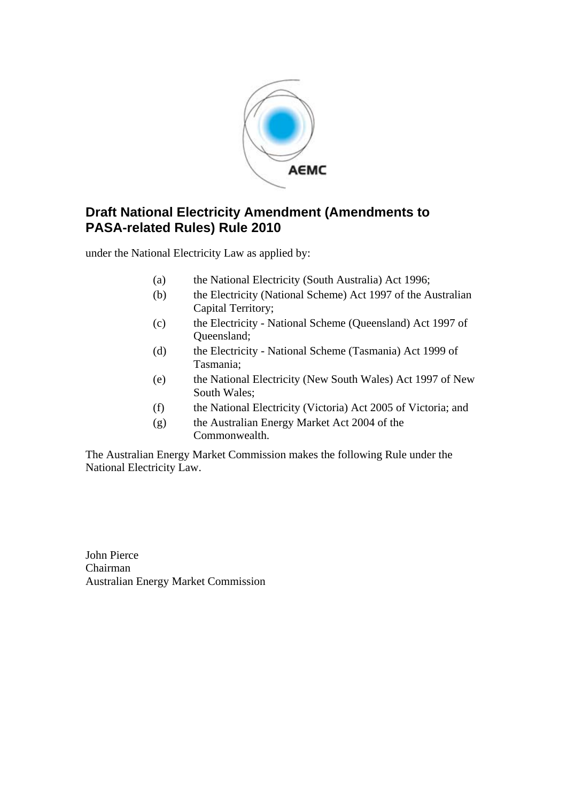

### **Draft National Electricity Amendment (Amendments to PASA-related Rules) Rule 2010**

under the National Electricity Law as applied by:

- (a) the National Electricity (South Australia) Act 1996;
- (b) the Electricity (National Scheme) Act 1997 of the Australian Capital Territory;
- (c) the Electricity National Scheme (Queensland) Act 1997 of Queensland;
- (d) the Electricity National Scheme (Tasmania) Act 1999 of Tasmania;
- (e) the National Electricity (New South Wales) Act 1997 of New South Wales;
- (f) the National Electricity (Victoria) Act 2005 of Victoria; and
- (g) the Australian Energy Market Act 2004 of the Commonwealth.

The Australian Energy Market Commission makes the following Rule under the National Electricity Law.

John Pierce Chairman Australian Energy Market Commission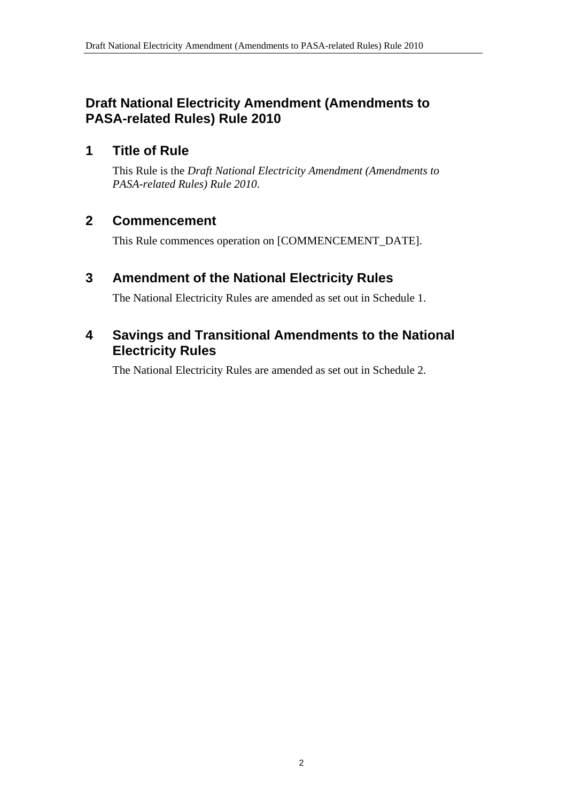### **Draft National Electricity Amendment (Amendments to PASA-related Rules) Rule 2010**

#### **1 Title of Rule**

This Rule is the *Draft National Electricity Amendment (Amendments to PASA-related Rules) Rule 2010*.

#### **2 Commencement**

This Rule commences operation on [COMMENCEMENT\_DATE].

### **3 Amendment of the National Electricity Rules**

The National Electricity Rules are amended as set out in Schedule 1.

#### **4 Savings and Transitional Amendments to the National Electricity Rules**

The National Electricity Rules are amended as set out in Schedule 2.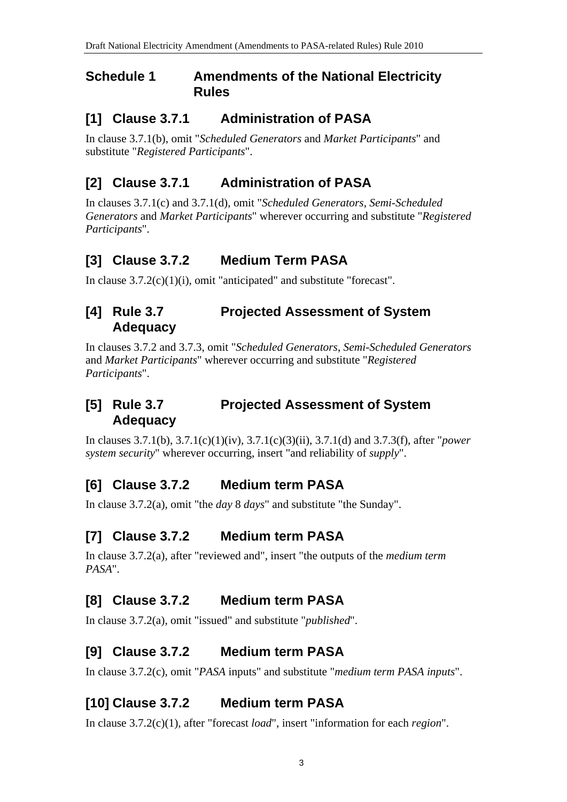#### **Schedule 1 Amendments of the National Electricity Rules**

#### **[1] Clause 3.7.1 Administration of PASA**

In clause 3.7.1(b), omit "*Scheduled Generators* and *Market Participants*" and substitute "*Registered Participants*".

## **[2] Clause 3.7.1 Administration of PASA**

In clauses 3.7.1(c) and 3.7.1(d), omit "*Scheduled Generators*, *Semi-Scheduled Generators* and *Market Participants*" wherever occurring and substitute "*Registered Participants*".

## **[3] Clause 3.7.2 Medium Term PASA**

In clause 3.7.2(c)(1)(i), omit "anticipated" and substitute "forecast".

#### **[4] Rule 3.7 Projected Assessment of System Adequacy**

In clauses 3.7.2 and 3.7.3, omit "*Scheduled Generators*, *Semi-Scheduled Generators* and *Market Participants*" wherever occurring and substitute "*Registered Participants*".

#### **[5] Rule 3.7 Projected Assessment of System Adequacy**

In clauses 3.7.1(b), 3.7.1(c)(1)(iv), 3.7.1(c)(3)(ii), 3.7.1(d) and 3.7.3(f), after "*power system security*" wherever occurring, insert "and reliability of *supply*".

### **[6] Clause 3.7.2 Medium term PASA**

In clause 3.7.2(a), omit "the *day* 8 *days*" and substitute "the Sunday".

### **[7] Clause 3.7.2 Medium term PASA**

In clause 3.7.2(a), after "reviewed and", insert "the outputs of the *medium term PASA*".

### **[8] Clause 3.7.2 Medium term PASA**

In clause 3.7.2(a), omit "issued" and substitute "*published*".

### **[9] Clause 3.7.2 Medium term PASA**

In clause 3.7.2(c), omit "*PASA* inputs" and substitute "*medium term PASA inputs*".

### **[10] Clause 3.7.2 Medium term PASA**

In clause 3.7.2(c)(1), after "forecast *load*", insert "information for each *region*".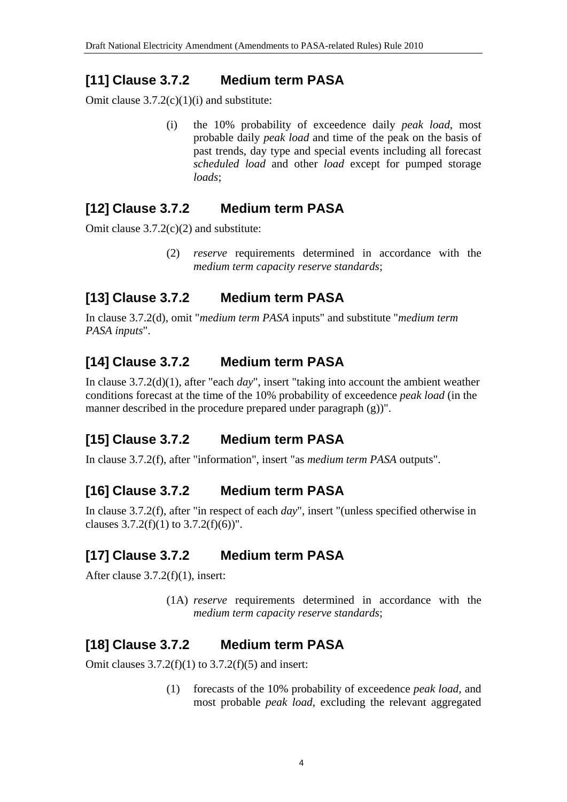## **[11] Clause 3.7.2 Medium term PASA**

Omit clause 3.7.2(c)(1)(i) and substitute:

(i) the 10% probability of exceedence daily *peak load*, most probable daily *peak load* and time of the peak on the basis of past trends, day type and special events including all forecast *scheduled load* and other *load* except for pumped storage *loads*;

## **[12] Clause 3.7.2 Medium term PASA**

Omit clause 3.7.2(c)(2) and substitute:

(2) *reserve* requirements determined in accordance with the *medium term capacity reserve standards*;

## **[13] Clause 3.7.2 Medium term PASA**

In clause 3.7.2(d), omit "*medium term PASA* inputs" and substitute "*medium term PASA inputs*".

## **[14] Clause 3.7.2 Medium term PASA**

In clause 3.7.2(d)(1), after "each *day*", insert "taking into account the ambient weather conditions forecast at the time of the 10% probability of exceedence *peak load* (in the manner described in the procedure prepared under paragraph (g))".

## **[15] Clause 3.7.2 Medium term PASA**

In clause 3.7.2(f), after "information", insert "as *medium term PASA* outputs".

## **[16] Clause 3.7.2 Medium term PASA**

In clause 3.7.2(f), after "in respect of each *day*", insert "(unless specified otherwise in clauses  $3.7.2(f)(1)$  to  $3.7.2(f)(6)$ ".

## **[17] Clause 3.7.2 Medium term PASA**

After clause 3.7.2(f)(1), insert:

(1A) *reserve* requirements determined in accordance with the *medium term capacity reserve standards*;

## **[18] Clause 3.7.2 Medium term PASA**

Omit clauses  $3.7.2(f)(1)$  to  $3.7.2(f)(5)$  and insert:

(1) forecasts of the 10% probability of exceedence *peak load*, and most probable *peak load*, excluding the relevant aggregated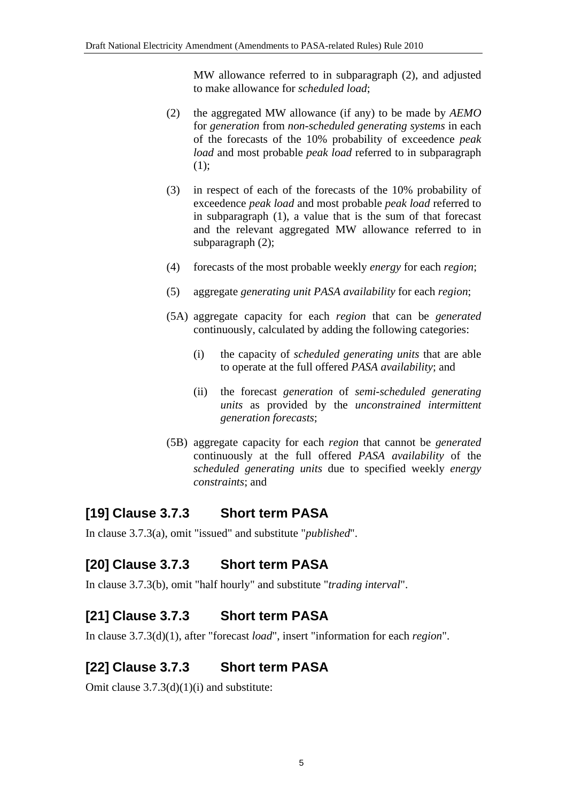MW allowance referred to in subparagraph (2), and adjusted to make allowance for *scheduled load*;

- (2) the aggregated MW allowance (if any) to be made by *AEMO* for *generation* from *non-scheduled generating systems* in each of the forecasts of the 10% probability of exceedence *peak load* and most probable *peak load* referred to in subparagraph (1);
- (3) in respect of each of the forecasts of the 10% probability of exceedence *peak load* and most probable *peak load* referred to in subparagraph (1), a value that is the sum of that forecast and the relevant aggregated MW allowance referred to in subparagraph (2);
- (4) forecasts of the most probable weekly *energy* for each *region*;
- (5) aggregate *generating unit PASA availability* for each *region*;
- (5A) aggregate capacity for each *region* that can be *generated* continuously, calculated by adding the following categories:
	- (i) the capacity of *scheduled generating units* that are able to operate at the full offered *PASA availability*; and
	- (ii) the forecast *generation* of *semi-scheduled generating units* as provided by the *unconstrained intermittent generation forecasts*;
- (5B) aggregate capacity for each *region* that cannot be *generated* continuously at the full offered *PASA availability* of the *scheduled generating units* due to specified weekly *energy constraints*; and

## **[19] Clause 3.7.3 Short term PASA**

In clause 3.7.3(a), omit "issued" and substitute "*published*".

# **[20] Clause 3.7.3 Short term PASA**

In clause 3.7.3(b), omit "half hourly" and substitute "*trading interval*".

### **[21] Clause 3.7.3 Short term PASA**

In clause 3.7.3(d)(1), after "forecast *load*", insert "information for each *region*".

# **[22] Clause 3.7.3 Short term PASA**

Omit clause  $3.7.3(d)(1)(i)$  and substitute: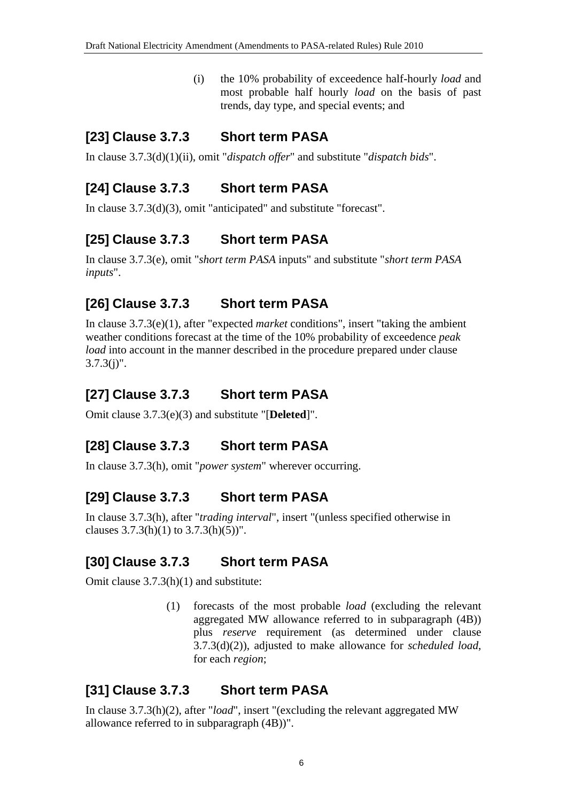(i) the 10% probability of exceedence half-hourly *load* and most probable half hourly *load* on the basis of past trends, day type, and special events; and

### **[23] Clause 3.7.3 Short term PASA**

In clause 3.7.3(d)(1)(ii), omit "*dispatch offer*" and substitute "*dispatch bids*".

## **[24] Clause 3.7.3 Short term PASA**

In clause 3.7.3(d)(3), omit "anticipated" and substitute "forecast".

## **[25] Clause 3.7.3 Short term PASA**

In clause 3.7.3(e), omit "*short term PASA* inputs" and substitute "*short term PASA inputs*".

## **[26] Clause 3.7.3 Short term PASA**

In clause 3.7.3(e)(1), after "expected *market* conditions", insert "taking the ambient weather conditions forecast at the time of the 10% probability of exceedence *peak load* into account in the manner described in the procedure prepared under clause  $3.7.3(j)$ ".

## **[27] Clause 3.7.3 Short term PASA**

Omit clause 3.7.3(e)(3) and substitute "[**Deleted**]".

## **[28] Clause 3.7.3 Short term PASA**

In clause 3.7.3(h), omit "*power system*" wherever occurring.

### **[29] Clause 3.7.3 Short term PASA**

In clause 3.7.3(h), after "*trading interval*", insert "(unless specified otherwise in clauses  $3.7.3(h)(1)$  to  $3.7.3(h)(5)$ ".

### **[30] Clause 3.7.3 Short term PASA**

Omit clause 3.7.3(h)(1) and substitute:

(1) forecasts of the most probable *load* (excluding the relevant aggregated MW allowance referred to in subparagraph (4B)) plus *reserve* requirement (as determined under clause 3.7.3(d)(2)), adjusted to make allowance for *scheduled load*, for each *region*;

### **[31] Clause 3.7.3 Short term PASA**

In clause 3.7.3(h)(2), after "*load*", insert "(excluding the relevant aggregated MW allowance referred to in subparagraph (4B))".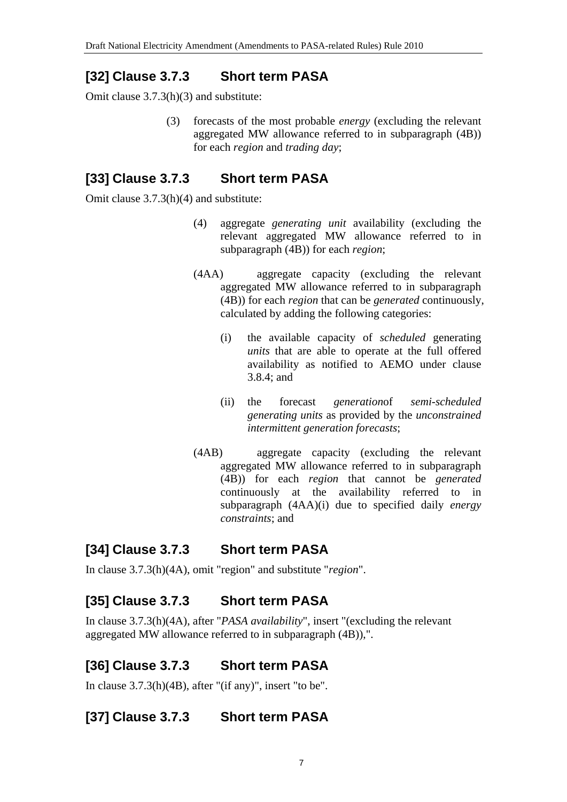## **[32] Clause 3.7.3 Short term PASA**

Omit clause 3.7.3(h)(3) and substitute:

(3) forecasts of the most probable *energy* (excluding the relevant aggregated MW allowance referred to in subparagraph (4B)) for each *region* and *trading day*;

## **[33] Clause 3.7.3 Short term PASA**

Omit clause 3.7.3(h)(4) and substitute:

- (4) aggregate *generating unit* availability (excluding the relevant aggregated MW allowance referred to in subparagraph (4B)) for each *region*;
- (4AA) aggregate capacity (excluding the relevant aggregated MW allowance referred to in subparagraph (4B)) for each *region* that can be *generated* continuously, calculated by adding the following categories:
	- (i) the available capacity of *scheduled* generating *units* that are able to operate at the full offered availability as notified to AEMO under clause 3.8.4; and
	- (ii) the forecast *generation*of *semi-scheduled generating units* as provided by the *unconstrained intermittent generation forecasts*;
- (4AB) aggregate capacity (excluding the relevant aggregated MW allowance referred to in subparagraph (4B)) for each *region* that cannot be *generated* continuously at the availability referred to in subparagraph (4AA)(i) due to specified daily *energy constraints*; and

## **[34] Clause 3.7.3 Short term PASA**

In clause 3.7.3(h)(4A), omit "region" and substitute "*region*".

## **[35] Clause 3.7.3 Short term PASA**

In clause 3.7.3(h)(4A), after "*PASA availability*", insert "(excluding the relevant aggregated MW allowance referred to in subparagraph (4B)),".

## **[36] Clause 3.7.3 Short term PASA**

In clause 3.7.3(h)(4B), after "(if any)", insert "to be".

## **[37] Clause 3.7.3 Short term PASA**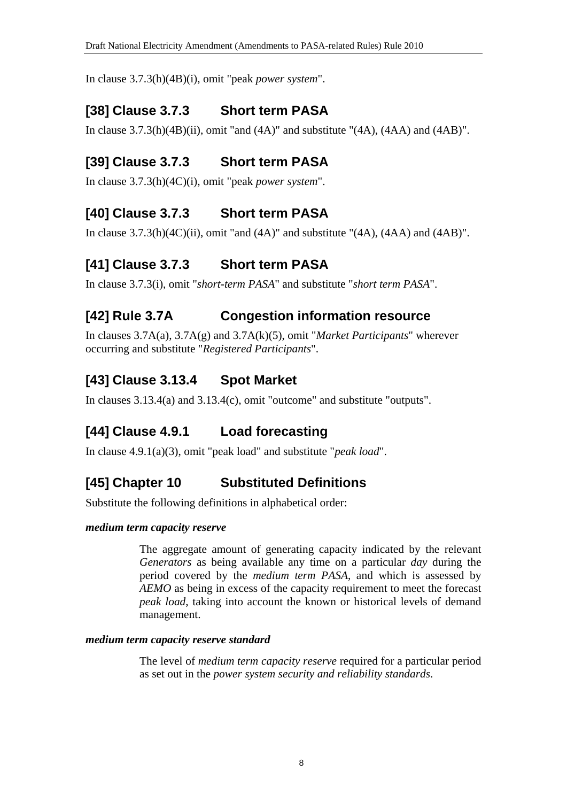In clause 3.7.3(h)(4B)(i), omit "peak *power system*".

# **[38] Clause 3.7.3 Short term PASA**

In clause  $3.7.3(h)(4B)(ii)$ , omit "and  $(4A)$ " and substitute " $(4A)$ ,  $(4AA)$  and  $(4AB)$ ".

# **[39] Clause 3.7.3 Short term PASA**

In clause 3.7.3(h)(4C)(i), omit "peak *power system*".

# **[40] Clause 3.7.3 Short term PASA**

In clause  $3.7.3(h)(4C)(ii)$ , omit "and  $(4A)$ " and substitute " $(4A)$ ,  $(4AA)$  and  $(4AB)$ ".

# **[41] Clause 3.7.3 Short term PASA**

In clause 3.7.3(i), omit "*short-term PASA*" and substitute "*short term PASA*".

## **[42] Rule 3.7A Congestion information resource**

In clauses 3.7A(a), 3.7A(g) and 3.7A(k)(5), omit "*Market Participants*" wherever occurring and substitute "*Registered Participants*".

## **[43] Clause 3.13.4 Spot Market**

In clauses 3.13.4(a) and 3.13.4(c), omit "outcome" and substitute "outputs".

# **[44] Clause 4.9.1 Load forecasting**

In clause 4.9.1(a)(3), omit "peak load" and substitute "*peak load*".

## **[45] Chapter 10 Substituted Definitions**

Substitute the following definitions in alphabetical order:

#### *medium term capacity reserve*

The aggregate amount of generating capacity indicated by the relevant *Generators* as being available any time on a particular *day* during the period covered by the *medium term PASA*, and which is assessed by *AEMO* as being in excess of the capacity requirement to meet the forecast *peak load*, taking into account the known or historical levels of demand management.

#### *medium term capacity reserve standard*

The level of *medium term capacity reserve* required for a particular period as set out in the *power system security and reliability standards*.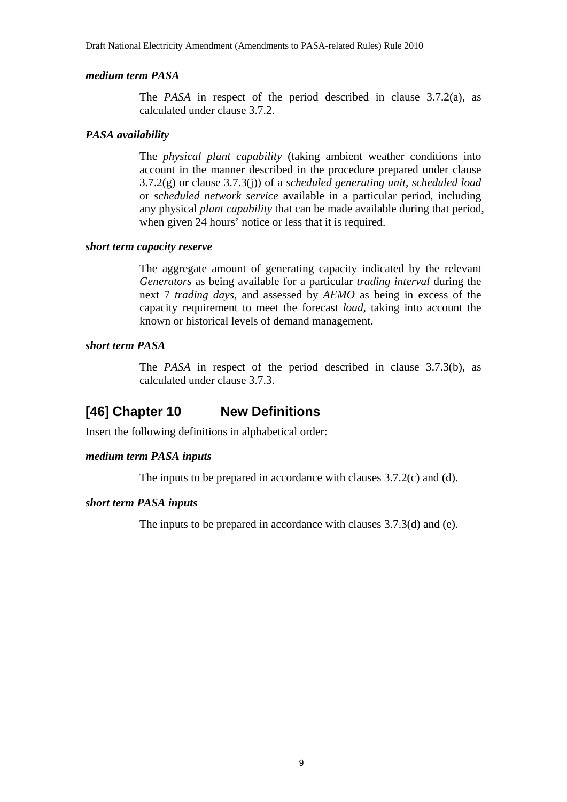#### *medium term PASA*

The *PASA* in respect of the period described in clause 3.7.2(a), as calculated under clause 3.7.2.

#### *PASA availability*

The *physical plant capability* (taking ambient weather conditions into account in the manner described in the procedure prepared under clause 3.7.2(g) or clause 3.7.3(j)) of a *scheduled generating unit*, *scheduled load* or *scheduled network service* available in a particular period, including any physical *plant capability* that can be made available during that period, when given 24 hours' notice or less that it is required.

#### *short term capacity reserve*

The aggregate amount of generating capacity indicated by the relevant *Generators* as being available for a particular *trading interval* during the next 7 *trading days*, and assessed by *AEMO* as being in excess of the capacity requirement to meet the forecast *load*, taking into account the known or historical levels of demand management.

#### *short term PASA*

The *PASA* in respect of the period described in clause 3.7.3(b), as calculated under clause 3.7.3.

### **[46] Chapter 10 New Definitions**

Insert the following definitions in alphabetical order:

#### *medium term PASA inputs*

The inputs to be prepared in accordance with clauses 3.7.2(c) and (d).

#### *short term PASA inputs*

The inputs to be prepared in accordance with clauses 3.7.3(d) and (e).